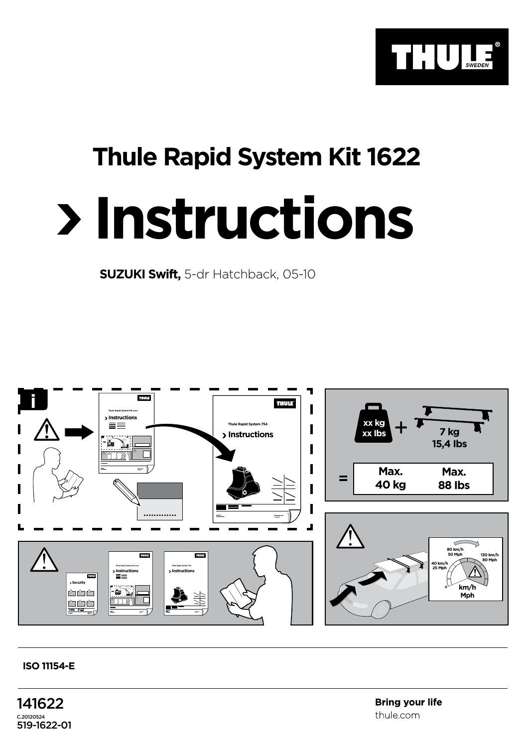

## **Thule Rapid System Kit 1622**

## **Instructions**

**SUZUKI Swift,** 5-dr Hatchback, 05-10



## **ISO 11154-E**

141622 C.20120524 519-1622-01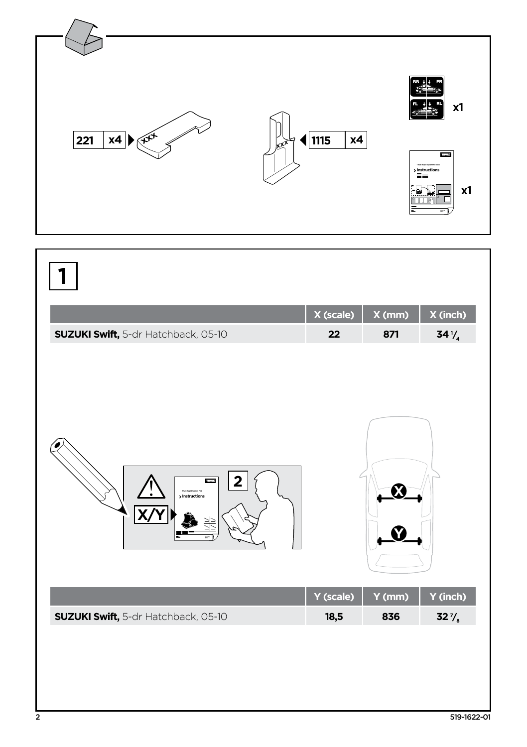

|                                            | $X$ (scale) $X$ (mm) $X$ (inch) |     |  |
|--------------------------------------------|---------------------------------|-----|--|
| <b>SUZUKI Swift,</b> 5-dr Hatchback, 05-10 |                                 | 871 |  |

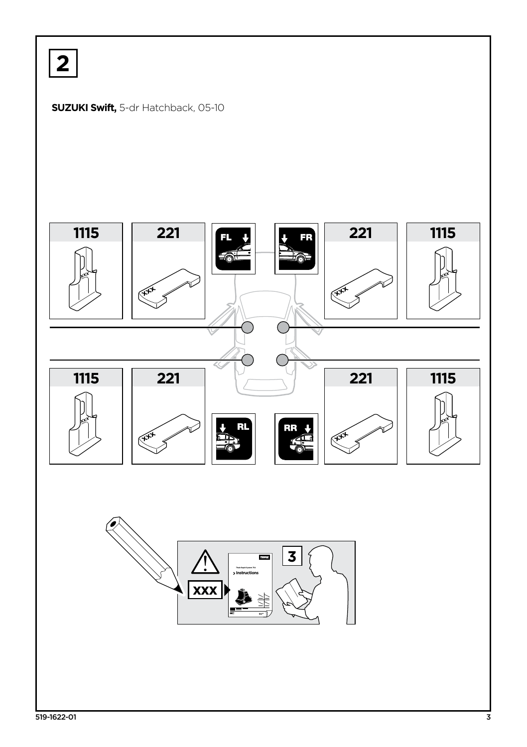